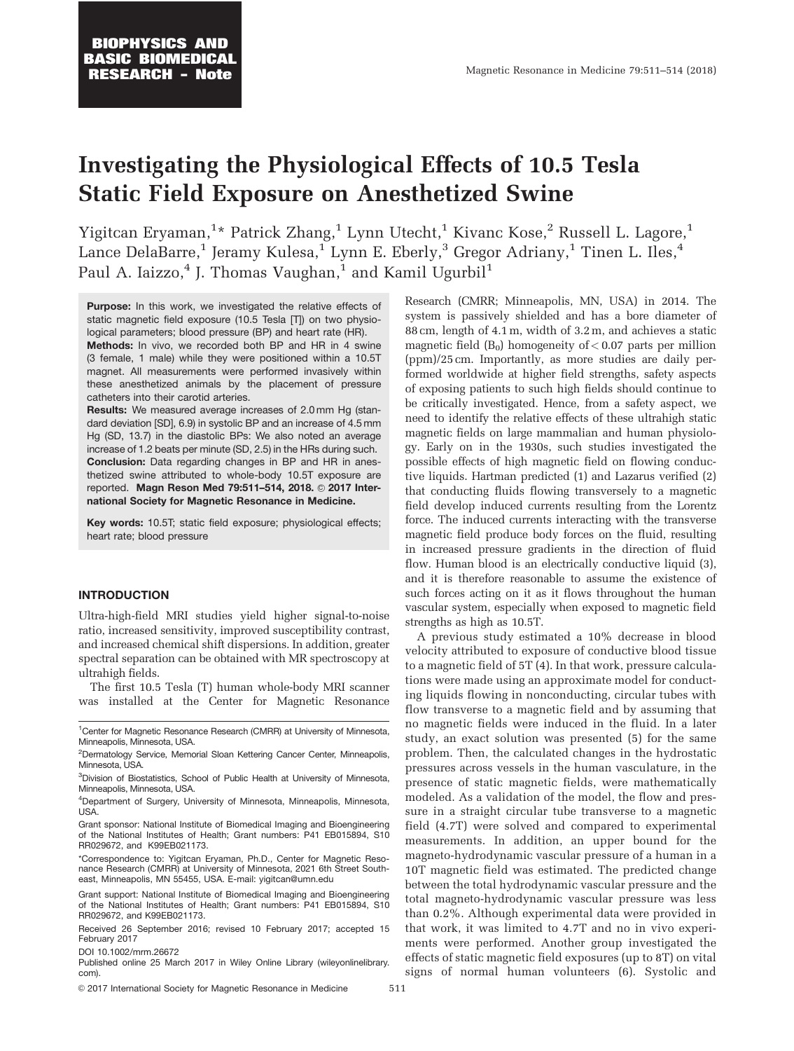# Investigating the Physiological Effects of 10.5 Tesla Static Field Exposure on Anesthetized Swine

Yigitcan Eryaman, $^{1\star}$  Patrick Zhang, $^{1}$  Lynn Utecht, $^{1}$  Kivanc Kose, $^{2}$  Russell L. Lagore, $^{1}$ Lance DelaBarre,<sup>1</sup> Jeramy Kulesa,<sup>1</sup> Lynn E. Eberly,<sup>3</sup> Gregor Adriany,<sup>1</sup> Tinen L. Iles,<sup>4</sup> Paul A. Iaizzo, $4$  J. Thomas Vaughan, $1$  and Kamil Ugurbil<sup>1</sup>

Purpose: In this work, we investigated the relative effects of static magnetic field exposure (10.5 Tesla [T]) on two physiological parameters; blood pressure (BP) and heart rate (HR).

**Methods:** In vivo, we recorded both BP and HR in 4 swine (3 female, 1 male) while they were positioned within a 10.5T magnet. All measurements were performed invasively within these anesthetized animals by the placement of pressure catheters into their carotid arteries.

Results: We measured average increases of 2.0 mm Hg (standard deviation [SD], 6.9) in systolic BP and an increase of 4.5 mm Hg (SD, 13.7) in the diastolic BPs: We also noted an average increase of 1.2 beats per minute (SD, 2.5) in the HRs during such. Conclusion: Data regarding changes in BP and HR in anesthetized swine attributed to whole-body 10.5T exposure are reported. Magn Reson Med 79:511-514, 2018. 2017 International Society for Magnetic Resonance in Medicine.

Key words: 10.5T; static field exposure; physiological effects; heart rate; blood pressure

## INTRODUCTION

Ultra-high-field MRI studies yield higher signal-to-noise ratio, increased sensitivity, improved susceptibility contrast, and increased chemical shift dispersions. In addition, greater spectral separation can be obtained with MR spectroscopy at ultrahigh fields.

The first 10.5 Tesla (T) human whole-body MRI scanner was installed at the Center for Magnetic Resonance

Grant sponsor: National Institute of Biomedical Imaging and Bioengineering of the National Institutes of Health; Grant numbers: P41 EB015894, S10 RR029672, and K99EB021173.

\*Correspondence to: Yigitcan Eryaman, Ph.D., Center for Magnetic Resonance Research (CMRR) at University of Minnesota, 2021 6th Street Southeast, Minneapolis, MN 55455, USA. E-mail: yigitcan@umn.edu

Grant support: National Institute of Biomedical Imaging and Bioengineering of the National Institutes of Health; Grant numbers: P41 EB015894, S10 RR029672, and K99EB021173.

Received 26 September 2016; revised 10 February 2017; accepted 15 February 2017

DOI 10.1002/mrm.26672

Published online 25 March 2017 in Wiley Online Library (wileyonlinelibrary. com).

© 2017 International Society for Magnetic Resonance in Medicine 511

Research (CMRR; Minneapolis, MN, USA) in 2014. The system is passively shielded and has a bore diameter of 88 cm, length of 4.1m, width of 3.2m, and achieves a static magnetic field  $(B_0)$  homogeneity of  $< 0.07$  parts per million (ppm)/25 cm. Importantly, as more studies are daily performed worldwide at higher field strengths, safety aspects of exposing patients to such high fields should continue to be critically investigated. Hence, from a safety aspect, we need to identify the relative effects of these ultrahigh static magnetic fields on large mammalian and human physiology. Early on in the 1930s, such studies investigated the possible effects of high magnetic field on flowing conductive liquids. Hartman predicted (1) and Lazarus verified (2) that conducting fluids flowing transversely to a magnetic field develop induced currents resulting from the Lorentz force. The induced currents interacting with the transverse magnetic field produce body forces on the fluid, resulting in increased pressure gradients in the direction of fluid flow. Human blood is an electrically conductive liquid (3), and it is therefore reasonable to assume the existence of such forces acting on it as it flows throughout the human vascular system, especially when exposed to magnetic field strengths as high as 10.5T.

A previous study estimated a 10% decrease in blood velocity attributed to exposure of conductive blood tissue to a magnetic field of 5T (4). In that work, pressure calculations were made using an approximate model for conducting liquids flowing in nonconducting, circular tubes with flow transverse to a magnetic field and by assuming that no magnetic fields were induced in the fluid. In a later study, an exact solution was presented (5) for the same problem. Then, the calculated changes in the hydrostatic pressures across vessels in the human vasculature, in the presence of static magnetic fields, were mathematically modeled. As a validation of the model, the flow and pressure in a straight circular tube transverse to a magnetic field (4.7T) were solved and compared to experimental measurements. In addition, an upper bound for the magneto-hydrodynamic vascular pressure of a human in a 10T magnetic field was estimated. The predicted change between the total hydrodynamic vascular pressure and the total magneto-hydrodynamic vascular pressure was less than 0.2%. Although experimental data were provided in that work, it was limited to 4.7T and no in vivo experiments were performed. Another group investigated the effects of static magnetic field exposures (up to 8T) on vital signs of normal human volunteers (6). Systolic and

<sup>&</sup>lt;sup>1</sup> Center for Magnetic Resonance Research (CMRR) at University of Minnesota, Minneapolis, Minnesota, USA.

<sup>&</sup>lt;sup>2</sup>Dermatology Service, Memorial Sloan Kettering Cancer Center, Minneapolis, Minnesota, USA.

<sup>&</sup>lt;sup>3</sup>Division of Biostatistics, School of Public Health at University of Minnesota, Minneapolis, Minnesota, USA.

<sup>4</sup> Department of Surgery, University of Minnesota, Minneapolis, Minnesota, USA.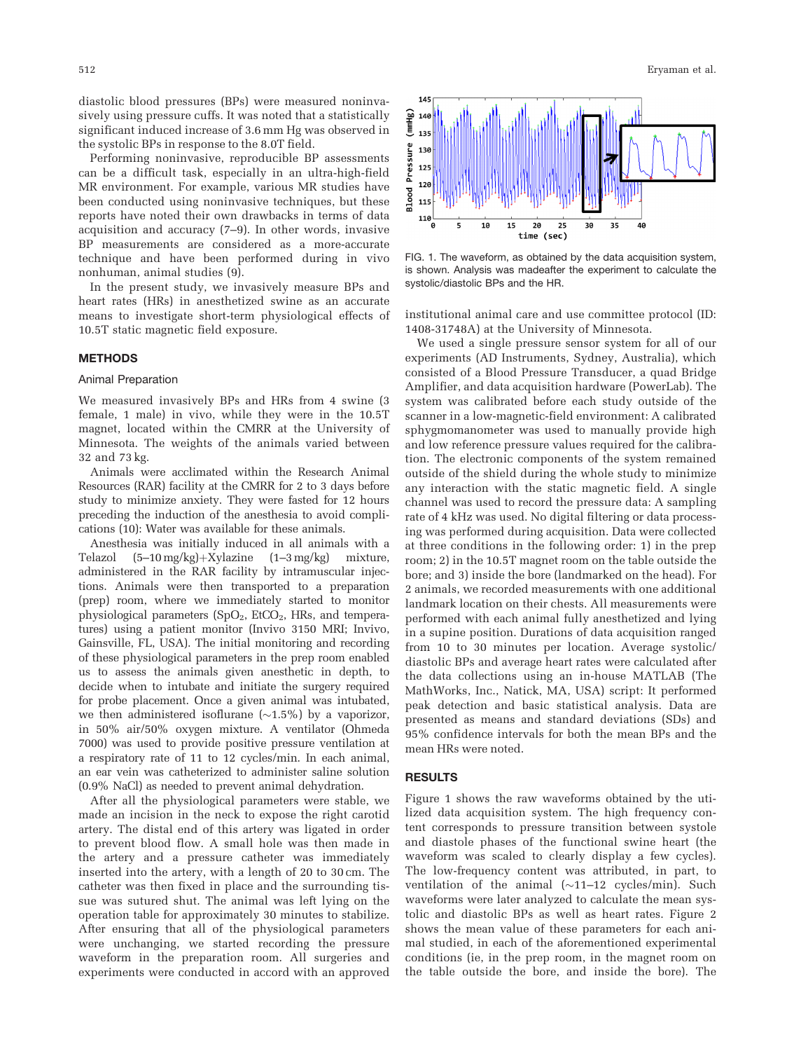diastolic blood pressures (BPs) were measured noninvasively using pressure cuffs. It was noted that a statistically significant induced increase of 3.6 mm Hg was observed in the systolic BPs in response to the 8.0T field.

Performing noninvasive, reproducible BP assessments can be a difficult task, especially in an ultra-high-field MR environment. For example, various MR studies have been conducted using noninvasive techniques, but these reports have noted their own drawbacks in terms of data acquisition and accuracy (7–9). In other words, invasive BP measurements are considered as a more-accurate technique and have been performed during in vivo nonhuman, animal studies (9).

In the present study, we invasively measure BPs and heart rates (HRs) in anesthetized swine as an accurate means to investigate short-term physiological effects of 10.5T static magnetic field exposure.

## METHODS

#### Animal Preparation

We measured invasively BPs and HRs from 4 swine (3 female, 1 male) in vivo, while they were in the 10.5T magnet, located within the CMRR at the University of Minnesota. The weights of the animals varied between 32 and 73 kg.

Animals were acclimated within the Research Animal Resources (RAR) facility at the CMRR for 2 to 3 days before study to minimize anxiety. They were fasted for 12 hours preceding the induction of the anesthesia to avoid complications (10): Water was available for these animals.

Anesthesia was initially induced in all animals with a Telazol  $(5-10 \text{ mg/kg})+Xylazine$   $(1-3 \text{ mg/kg})$  mixture, administered in the RAR facility by intramuscular injections. Animals were then transported to a preparation (prep) room, where we immediately started to monitor physiological parameters  $(SpO<sub>2</sub>, EtCO<sub>2</sub>, HRs, and tempera$ tures) using a patient monitor (Invivo 3150 MRI; Invivo, Gainsville, FL, USA). The initial monitoring and recording of these physiological parameters in the prep room enabled us to assess the animals given anesthetic in depth, to decide when to intubate and initiate the surgery required for probe placement. Once a given animal was intubated, we then administered isoflurane  $(\sim1.5\%)$  by a vaporizor, in 50% air/50% oxygen mixture. A ventilator (Ohmeda 7000) was used to provide positive pressure ventilation at a respiratory rate of 11 to 12 cycles/min. In each animal, an ear vein was catheterized to administer saline solution (0.9% NaCl) as needed to prevent animal dehydration.

After all the physiological parameters were stable, we made an incision in the neck to expose the right carotid artery. The distal end of this artery was ligated in order to prevent blood flow. A small hole was then made in the artery and a pressure catheter was immediately inserted into the artery, with a length of 20 to 30 cm. The catheter was then fixed in place and the surrounding tissue was sutured shut. The animal was left lying on the operation table for approximately 30 minutes to stabilize. After ensuring that all of the physiological parameters were unchanging, we started recording the pressure waveform in the preparation room. All surgeries and experiments were conducted in accord with an approved



FIG. 1. The waveform, as obtained by the data acquisition system, is shown. Analysis was madeafter the experiment to calculate the systolic/diastolic BPs and the HR.

institutional animal care and use committee protocol (ID: 1408-31748A) at the University of Minnesota.

We used a single pressure sensor system for all of our experiments (AD Instruments, Sydney, Australia), which consisted of a Blood Pressure Transducer, a quad Bridge Amplifier, and data acquisition hardware (PowerLab). The system was calibrated before each study outside of the scanner in a low-magnetic-field environment: A calibrated sphygmomanometer was used to manually provide high and low reference pressure values required for the calibration. The electronic components of the system remained outside of the shield during the whole study to minimize any interaction with the static magnetic field. A single channel was used to record the pressure data: A sampling rate of 4 kHz was used. No digital filtering or data processing was performed during acquisition. Data were collected at three conditions in the following order: 1) in the prep room; 2) in the 10.5T magnet room on the table outside the bore; and 3) inside the bore (landmarked on the head). For 2 animals, we recorded measurements with one additional landmark location on their chests. All measurements were performed with each animal fully anesthetized and lying in a supine position. Durations of data acquisition ranged from 10 to 30 minutes per location. Average systolic/ diastolic BPs and average heart rates were calculated after the data collections using an in-house MATLAB (The MathWorks, Inc., Natick, MA, USA) script: It performed peak detection and basic statistical analysis. Data are presented as means and standard deviations (SDs) and 95% confidence intervals for both the mean BPs and the mean HRs were noted.

## RESULTS

Figure 1 shows the raw waveforms obtained by the utilized data acquisition system. The high frequency content corresponds to pressure transition between systole and diastole phases of the functional swine heart (the waveform was scaled to clearly display a few cycles). The low-frequency content was attributed, in part, to ventilation of the animal ( $\sim$ 11–12 cycles/min). Such waveforms were later analyzed to calculate the mean systolic and diastolic BPs as well as heart rates. Figure 2 shows the mean value of these parameters for each animal studied, in each of the aforementioned experimental conditions (ie, in the prep room, in the magnet room on the table outside the bore, and inside the bore). The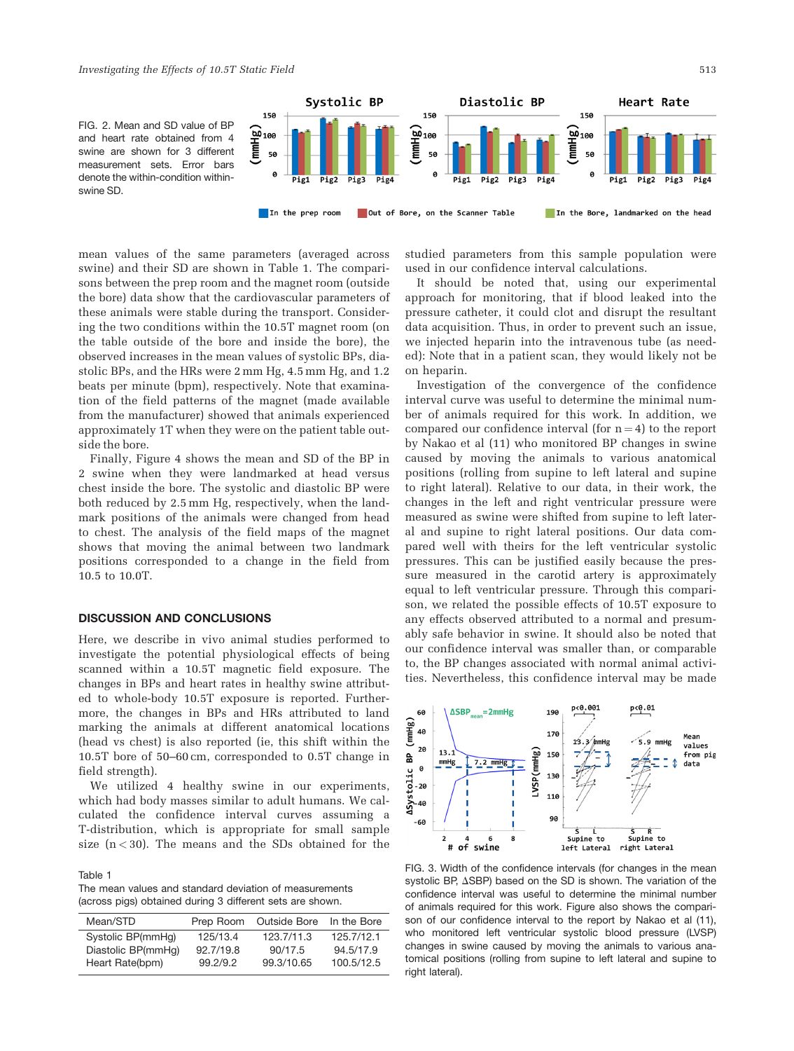FIG. 2. Mean and SD value of BP and heart rate obtained from 4 swine are shown for 3 different measurement sets. Error bars denote the within-condition withinswine SD.



mean values of the same parameters (averaged across swine) and their SD are shown in Table 1. The comparisons between the prep room and the magnet room (outside the bore) data show that the cardiovascular parameters of these animals were stable during the transport. Considering the two conditions within the 10.5T magnet room (on the table outside of the bore and inside the bore), the observed increases in the mean values of systolic BPs, diastolic BPs, and the HRs were 2 mm Hg, 4.5 mm Hg, and 1.2 beats per minute (bpm), respectively. Note that examination of the field patterns of the magnet (made available from the manufacturer) showed that animals experienced approximately 1T when they were on the patient table outside the bore.

Finally, Figure 4 shows the mean and SD of the BP in 2 swine when they were landmarked at head versus chest inside the bore. The systolic and diastolic BP were both reduced by 2.5 mm Hg, respectively, when the landmark positions of the animals were changed from head to chest. The analysis of the field maps of the magnet shows that moving the animal between two landmark positions corresponded to a change in the field from 10.5 to 10.0T.

# DISCUSSION AND CONCLUSIONS

Here, we describe in vivo animal studies performed to investigate the potential physiological effects of being scanned within a 10.5T magnetic field exposure. The changes in BPs and heart rates in healthy swine attributed to whole-body 10.5T exposure is reported. Furthermore, the changes in BPs and HRs attributed to land marking the animals at different anatomical locations (head vs chest) is also reported (ie, this shift within the 10.5T bore of 50–60 cm, corresponded to 0.5T change in field strength).

We utilized 4 healthy swine in our experiments, which had body masses similar to adult humans. We calculated the confidence interval curves assuming a T-distribution, which is appropriate for small sample size  $(n < 30)$ . The means and the SDs obtained for the

#### Table 1

The mean values and standard deviation of measurements (across pigs) obtained during 3 different sets are shown.

| Mean/STD           | Prep Room | Outside Bore | In the Bore |
|--------------------|-----------|--------------|-------------|
| Systolic BP(mmHq)  | 125/13.4  | 123.7/11.3   | 125.7/12.1  |
| Diastolic BP(mmHq) | 92.7/19.8 | 90/17.5      | 94.5/17.9   |
| Heart Rate(bpm)    | 99.2/9.2  | 99.3/10.65   | 100.5/12.5  |

studied parameters from this sample population were used in our confidence interval calculations.

It should be noted that, using our experimental approach for monitoring, that if blood leaked into the pressure catheter, it could clot and disrupt the resultant data acquisition. Thus, in order to prevent such an issue, we injected heparin into the intravenous tube (as needed): Note that in a patient scan, they would likely not be on heparin.

Investigation of the convergence of the confidence interval curve was useful to determine the minimal number of animals required for this work. In addition, we compared our confidence interval (for  $n = 4$ ) to the report by Nakao et al (11) who monitored BP changes in swine caused by moving the animals to various anatomical positions (rolling from supine to left lateral and supine to right lateral). Relative to our data, in their work, the changes in the left and right ventricular pressure were measured as swine were shifted from supine to left lateral and supine to right lateral positions. Our data compared well with theirs for the left ventricular systolic pressures. This can be justified easily because the pressure measured in the carotid artery is approximately equal to left ventricular pressure. Through this comparison, we related the possible effects of 10.5T exposure to any effects observed attributed to a normal and presumably safe behavior in swine. It should also be noted that our confidence interval was smaller than, or comparable to, the BP changes associated with normal animal activities. Nevertheless, this confidence interval may be made



FIG. 3. Width of the confidence intervals (for changes in the mean systolic BP,  $\triangle$ SBP) based on the SD is shown. The variation of the confidence interval was useful to determine the minimal number of animals required for this work. Figure also shows the comparison of our confidence interval to the report by Nakao et al (11), who monitored left ventricular systolic blood pressure (LVSP) changes in swine caused by moving the animals to various anatomical positions (rolling from supine to left lateral and supine to right lateral).